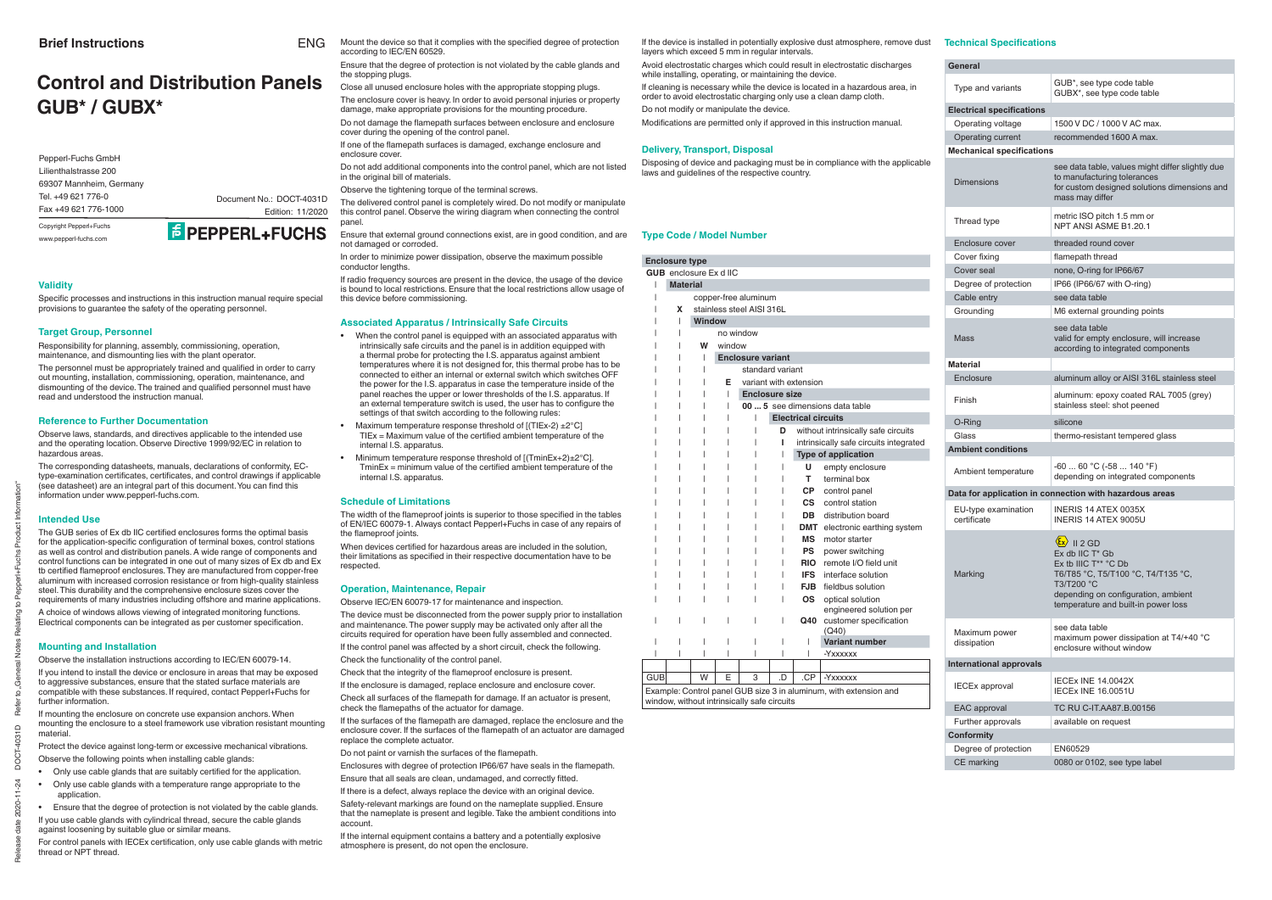Release date 2020-11-24 DOCT-4031D Refer to "General Notes Relating to Pepperl+Fuchs Product Information"

ne<br>Ref

 $\mathbb{R}^2$ င္က

### **Validity**

Specific processes and instructions in this instruction manual require special provisions to guarantee the safety of the operating personnel.

### **Target Group, Personnel**

The personnel must be appropriately trained and qualified in order to carry out mounting, installation, commissioning, operation, maintenance, and dismounting of the device. The trained and qualified personnel must have read and understood the instruction manual.

Responsibility for planning, assembly, commissioning, operation, maintenance, and dismounting lies with the plant operator.

### **Reference to Further Documentation**

Observe laws, standards, and directives applicable to the intended use and the operating location. Observe Directive 1999/92/EC in relation to hazardous areas.

The GUB series of Ex db IIC certified enclosures forms the optimal basis for the application-specific configuration of terminal boxes, control stations as well as control and distribution panels. A wide range of components and control functions can be integrated in one out of many sizes of Ex db and Ex tb certified flameproof enclosures. They are manufactured from copper-free aluminum with increased corrosion resistance or from high-quality stainless steel. This durability and the comprehensive enclosure sizes cover the requirements of many industries including off shore and marine applications.

A choice of windows allows viewing of integrated monitoring functions. Electrical components can be integrated as per customer specification.

The corresponding datasheets, manuals, declarations of conformity, ECtype-examination certificates, certificates, and control drawings if applicable (see datasheet) are an integral part of this document. You can find this information under www.pepperl-fuchs.com.

### **Intended Use**

- Only use cable glands that are suitably certified for the application.
- Only use cable glands with a temperature range appropriate to the application.

For control panels with IECEx certification, only use cable glands with metric thread or NPT thread.

Do not damage the flamepath surfaces between enclosure and enclosure cover during the opening of the control panel.

If one of the flamepath surfaces is damaged, exchange enclosure and enclosure cover.

#### **Mounting and Installation**

Observe the installation instructions according to IEC/EN 60079-14.

If you intend to install the device or enclosure in areas that may be exposed to aggressive substances, ensure that the stated surface materials are compatible with these substances. If required, contact Pepperl+Fuchs for further information.

If mounting the enclosure on concrete use expansion anchors. When mounting the enclosure to a steel framework use vibration resistant mounting material.

Protect the device against long-term or excessive mechanical vibrations. Observe the following points when installing cable glands:

• Ensure that the degree of protection is not violated by the cable glands.

If you use cable glands with cylindrical thread, secure the cable glands against loosening by suitable glue or similar means.

When devices certified for hazardous areas are included in the solution. their limitations as specified in their respective documentation have to be respected.

Ensure that the degree of protection is not violated by the cable glands and the stopping plugs.

Close all unused enclosure holes with the appropriate stopping plugs.

If the surfaces of the flamepath are damaged, replace the enclosure and the enclosure cover. If the surfaces of the flamepath of an actuator are damaged replace the complete actuator.

Do not paint or varnish the surfaces of the flamepath.

Enclosures with degree of protection IP66/67 have seals in the flamepath. Ensure that all seals are clean, undamaged, and correctly fitted.

The enclosure cover is heavy. In order to avoid personal injuries or property damage, make appropriate provisions for the mounting procedure.

Do not add additional components into the control panel, which are not listed in the original bill of materials.

Observe the tightening torque of the terminal screws.

The delivered control panel is completely wired. Do not modify or manipulate this control panel. Observe the wiring diagram when connecting the control panel.

Ensure that external ground connections exist, are in good condition, and are not damaged or corroded.

In order to minimize power dissipation, observe the maximum possible conductor lengths.

If radio frequency sources are present in the device, the usage of the device is bound to local restrictions. Ensure that the local restrictions allow usage of this device before commissioning.

#### **Associated Apparatus / Intrinsically Safe Circuits**

- When the control panel is equipped with an associated apparatus with intrinsically safe circuits and the panel is in addition equipped with a thermal probe for protecting the I.S. apparatus against ambient temperatures where it is not designed for, this thermal probe has to be connected to either an internal or external switch which switches OFF the power for the I.S. apparatus in case the temperature inside of the panel reaches the upper or lower thresholds of the I.S. apparatus. If an external temperature switch is used, the user has to configure the settings of that switch according to the following rules:
- Maximum temperature response threshold of  $[(TIEx-2) \pm 2^{\circ}C]$  $TIEx = Maximum$  value of the certified ambient temperature of the internal I.S. apparatus.
- Minimum temperature response threshold of [(TminEx+2)±2°C].  $TminEx = minimum$  value of the certified ambient temperature of the internal I.S. apparatus.

### **Schedule of Limitations**

The width of the flameproof joints is superior to those specified in the tables of EN/IEC 60079-1. Always contact Pepperl+Fuchs in case of any repairs of the flameproof joints.

Mount the device so that it complies with the specified degree of protection according to IEC/EN 60529. ENG

#### **Operation, Maintenance, Repair**

Observe IEC/EN 60079-17 for maintenance and inspection.

The device must be disconnected from the power supply prior to installation and maintenance. The power supply may be activated only after all the circuits required for operation have been fully assembled and connected.

If the control panel was affected by a short circuit, check the following.

Check the functionality of the control panel.

Check that the integrity of the flameproof enclosure is present.

If the enclosure is damaged, replace enclosure and enclosure cover.

Check all surfaces of the flamepath for damage. If an actuator is present, check the flamepaths of the actuator for damage.

If there is a defect, always replace the device with an original device.

Safety-relevant markings are found on the nameplate supplied. Ensure that the nameplate is present and legible. Take the ambient conditions into account.

If the internal equipment contains a battery and a potentially explosive atmosphere is present, do not open the enclosure.

| <b>General</b>                     |                                                                                                                                                                                                                                  |
|------------------------------------|----------------------------------------------------------------------------------------------------------------------------------------------------------------------------------------------------------------------------------|
| Type and variants                  | GUB*, see type code table<br>GUBX*, see type code table                                                                                                                                                                          |
| <b>Electrical specifications</b>   |                                                                                                                                                                                                                                  |
| Operating voltage                  | 1500 V DC / 1000 V AC max.                                                                                                                                                                                                       |
| Operating current                  | recommended 1600 A max.                                                                                                                                                                                                          |
| <b>Mechanical specifications</b>   |                                                                                                                                                                                                                                  |
| <b>Dimensions</b>                  | see data table, values might differ slightly due<br>to manufacturing tolerances<br>for custom designed solutions dimensions and<br>mass may differ                                                                               |
| Thread type                        | metric ISO pitch 1.5 mm or<br>NPT ANSI ASME B1.20.1                                                                                                                                                                              |
| Enclosure cover                    | threaded round cover                                                                                                                                                                                                             |
| Cover fixing                       | flamepath thread                                                                                                                                                                                                                 |
| Cover seal                         | none, O-ring for IP66/67                                                                                                                                                                                                         |
| Degree of protection               | IP66 (IP66/67 with O-ring)                                                                                                                                                                                                       |
| Cable entry                        | see data table                                                                                                                                                                                                                   |
| Grounding                          | M6 external grounding points                                                                                                                                                                                                     |
| <b>Mass</b>                        | see data table<br>valid for empty enclosure, will increase<br>according to integrated components                                                                                                                                 |
| <b>Material</b>                    |                                                                                                                                                                                                                                  |
| Enclosure                          | aluminum alloy or AISI 316L stainless steel                                                                                                                                                                                      |
| Finish                             | aluminum: epoxy coated RAL 7005 (grey)<br>stainless steel: shot peened                                                                                                                                                           |
| O-Ring                             | silicone                                                                                                                                                                                                                         |
| Glass                              | thermo-resistant tempered glass                                                                                                                                                                                                  |
| <b>Ambient conditions</b>          |                                                                                                                                                                                                                                  |
| Ambient temperature                | $-6060 °C (-58140 °F)$<br>depending on integrated components                                                                                                                                                                     |
|                                    | Data for application in connection with hazardous areas                                                                                                                                                                          |
| EU-type examination<br>certificate | INERIS 14 ATEX 0035X<br>INFRIS 14 ATFX 9005U                                                                                                                                                                                     |
| Marking                            | $\langle \hat{\epsilon} \mathbf{x} \rangle$    2 GD<br>Ex db IIC T* Gb<br>Ex tb IIIC T** °C Db<br>T6/T85 °C, T5/T100 °C, T4/T135 °C,<br>T3/T200 °C<br>depending on configuration, ambient<br>temperature and built-in power loss |
| Maximum power<br>dissipation       | see data table<br>maximum power dissipation at T4/+40 °C<br>enclosure without window                                                                                                                                             |
| <b>International approvals</b>     |                                                                                                                                                                                                                                  |
| <b>IECEx approval</b>              | <b>IECEX INE 14.0042X</b><br><b>IECEX INE 16.0051U</b>                                                                                                                                                                           |
| EAC approval                       | TC RU C-IT.AA87.B.00156                                                                                                                                                                                                          |
| Further approvals                  | available on request                                                                                                                                                                                                             |
| <b>Conformity</b>                  |                                                                                                                                                                                                                                  |
| Degree of protection               | EN60529                                                                                                                                                                                                                          |
| CE marking                         | 0080 or 0102, see type label                                                                                                                                                                                                     |

### **Technical Specifications**

# **Control and Distribution PanelsGUB\* / GUBX\***

If the device is installed in potentially explosive dust atmosphere, remove dust layers which exceed 5 mm in regular intervals.

Avoid electrostatic charges which could result in electrostatic discharges while installing, operating, or maintaining the device.

If cleaning is necessary while the device is located in a hazardous area, in order to avoid electrostatic charging only use a clean damp cloth.

Do not modify or manipulate the device.

Modifications are permitted only if approved in this instruction manual.

#### **Delivery, Transport, Disposal**

Disposing of device and packaging must be in compliance with the applicable laws and guidelines of the respective country.

### **Type Code / Model Number**

|     | <b>Enclosure type</b>                                         |                                             |                             |                                             |    |            |                                                                   |  |  |  |  |  |  |  |  |
|-----|---------------------------------------------------------------|---------------------------------------------|-----------------------------|---------------------------------------------|----|------------|-------------------------------------------------------------------|--|--|--|--|--|--|--|--|
|     | <b>GUB</b> enclosure Ex d IIC                                 |                                             |                             |                                             |    |            |                                                                   |  |  |  |  |  |  |  |  |
|     | <b>Material</b>                                               |                                             |                             |                                             |    |            |                                                                   |  |  |  |  |  |  |  |  |
|     |                                                               |                                             |                             | copper-free aluminum                        |    |            |                                                                   |  |  |  |  |  |  |  |  |
|     | X                                                             |                                             |                             | stainless steel AISI 316L                   |    |            |                                                                   |  |  |  |  |  |  |  |  |
|     |                                                               | <b>Window</b>                               |                             |                                             |    |            |                                                                   |  |  |  |  |  |  |  |  |
|     |                                                               |                                             | no window                   |                                             |    |            |                                                                   |  |  |  |  |  |  |  |  |
|     |                                                               | W                                           | window                      |                                             |    |            |                                                                   |  |  |  |  |  |  |  |  |
|     |                                                               | <b>Enclosure variant</b><br>ı               |                             |                                             |    |            |                                                                   |  |  |  |  |  |  |  |  |
|     |                                                               |                                             | standard variant            |                                             |    |            |                                                                   |  |  |  |  |  |  |  |  |
|     |                                                               |                                             | F<br>variant with extension |                                             |    |            |                                                                   |  |  |  |  |  |  |  |  |
|     |                                                               | <b>Enclosure size</b><br>$\mathsf{I}$       |                             |                                             |    |            |                                                                   |  |  |  |  |  |  |  |  |
|     | 00  5 see dimensions data table<br><b>Electrical circuits</b> |                                             |                             |                                             |    |            |                                                                   |  |  |  |  |  |  |  |  |
|     |                                                               |                                             |                             |                                             |    |            |                                                                   |  |  |  |  |  |  |  |  |
|     |                                                               |                                             |                             |                                             | D  |            | without intrinsically safe circuits                               |  |  |  |  |  |  |  |  |
|     |                                                               | ı<br>intrinsically safe circuits integrated |                             |                                             |    |            |                                                                   |  |  |  |  |  |  |  |  |
|     |                                                               | <b>Type of application</b>                  |                             |                                             |    |            |                                                                   |  |  |  |  |  |  |  |  |
|     |                                                               |                                             |                             |                                             |    | U          | empty enclosure                                                   |  |  |  |  |  |  |  |  |
|     |                                                               |                                             |                             |                                             |    | Τ.         | terminal box                                                      |  |  |  |  |  |  |  |  |
|     |                                                               |                                             |                             |                                             |    |            | CP control panel                                                  |  |  |  |  |  |  |  |  |
|     |                                                               |                                             |                             |                                             |    | <b>CS</b>  | control station                                                   |  |  |  |  |  |  |  |  |
|     |                                                               |                                             |                             |                                             |    | DB         | distribution board                                                |  |  |  |  |  |  |  |  |
|     |                                                               |                                             |                             |                                             |    |            | <b>DMT</b> electronic earthing system                             |  |  |  |  |  |  |  |  |
|     |                                                               |                                             |                             |                                             |    | MS         | motor starter                                                     |  |  |  |  |  |  |  |  |
|     |                                                               |                                             |                             |                                             |    | <b>PS</b>  | power switching                                                   |  |  |  |  |  |  |  |  |
|     |                                                               |                                             |                             |                                             |    | <b>RIO</b> | remote I/O field unit                                             |  |  |  |  |  |  |  |  |
|     |                                                               |                                             |                             |                                             |    | <b>IFS</b> | interface solution                                                |  |  |  |  |  |  |  |  |
|     |                                                               |                                             |                             |                                             |    | FJB I      | fieldbus solution                                                 |  |  |  |  |  |  |  |  |
|     |                                                               |                                             |                             |                                             |    | <b>OS</b>  | optical solution                                                  |  |  |  |  |  |  |  |  |
|     |                                                               |                                             |                             |                                             |    |            | engineered solution per                                           |  |  |  |  |  |  |  |  |
|     |                                                               |                                             |                             |                                             |    | Q40        | customer specification                                            |  |  |  |  |  |  |  |  |
|     |                                                               |                                             |                             |                                             |    |            | (Q40)<br><b>Variant number</b>                                    |  |  |  |  |  |  |  |  |
|     |                                                               |                                             |                             | I                                           | I  |            |                                                                   |  |  |  |  |  |  |  |  |
| ı   |                                                               |                                             |                             |                                             |    |            | -Yxxxxxx                                                          |  |  |  |  |  |  |  |  |
|     |                                                               |                                             |                             |                                             |    |            |                                                                   |  |  |  |  |  |  |  |  |
| GUB |                                                               | W                                           | F                           | 3                                           | .D | .CP        | -Yxxxxxx                                                          |  |  |  |  |  |  |  |  |
|     |                                                               |                                             |                             |                                             |    |            | Example: Control panel GUB size 3 in aluminum, with extension and |  |  |  |  |  |  |  |  |
|     |                                                               |                                             |                             | window, without intrinsically safe circuits |    |            |                                                                   |  |  |  |  |  |  |  |  |

Pepperl-Fuchs GmbH Lilienthalstrasse 20069307 Mannheim, Germany Tel. +49 621 776-0Fax +49 621 776-1000

Document No.: DOCT-4031D



Copyright Pepperl+Fuchs www.pepperl-fuchs.com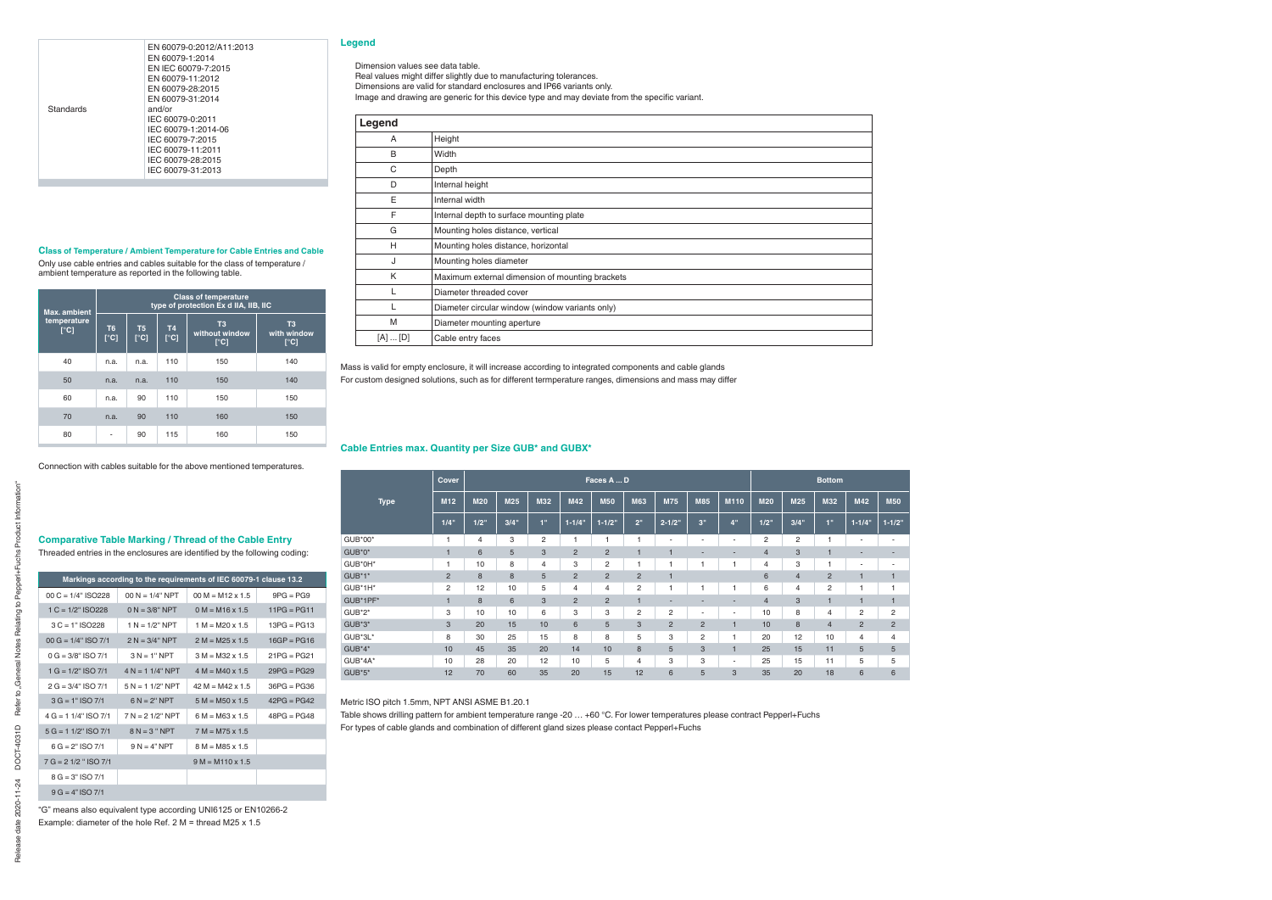### **Class of Temperature / Ambient Temperature for Cable Entries and Cable**

Only use cable entries and cables suitable for the class of temperature / ambient temperature as reported in the following table.

| <b>Max.</b> ambient                                |                                         |                                |                                    | <b>Class of temperature</b><br>type of protection Ex d IIA, IIB, IIC |                                               |
|----------------------------------------------------|-----------------------------------------|--------------------------------|------------------------------------|----------------------------------------------------------------------|-----------------------------------------------|
| temperature<br>$\overline{\Gamma}$ <sup>°</sup> C] | T <sub>6</sub><br>$\Gamma$ <sup>c</sup> | T <sub>5</sub><br>$\lceil$ °C] | <b>T4</b><br>$\Gamma$ <sup>c</sup> | T <sub>3</sub><br>without window<br>$\lceil$ °C]                     | T <sub>3</sub><br>with window<br>$\lceil$ °C] |
| 40                                                 | n.a.                                    | n.a.                           | 110                                | 150                                                                  | 140                                           |
| 50                                                 | n.a.                                    | n.a.                           | 110                                | 150                                                                  | 140                                           |
| 60                                                 | n.a.                                    | 90                             | 110                                | 150                                                                  | 150                                           |
| 70                                                 | n.a.                                    | 90                             | 110                                | 160                                                                  | 150                                           |
| 80                                                 |                                         | 90                             | 115                                | 160                                                                  | 150                                           |

Connection with cables suitable for the above mentioned temperatures.

# **Comparative Table Marking / Thread of the Cable Entry**

Threaded entries in the enclosures are identified by the following coding:

|                         |                     | Markings according to the requirements of IEC 60079-1 clause 13.2 |               |
|-------------------------|---------------------|-------------------------------------------------------------------|---------------|
| $00 C = 1/4"$ ISO228    | $00 N = 1/4" NPT$   | $00 M = M12 \times 1.5$                                           | $9PG = PG9$   |
| $1 C = 1/2$ " ISO 228   | $0 N = 3/8" NPT$    | $0 M = M16 \times 1.5$                                            | $11PG = PG11$ |
| $3 C = 1" ISO 228$      | $1 N = 1/2" NPT$    | $1 M = M20 \times 1.5$                                            | $13PG = PG13$ |
| $00 G = 1/4" ISO 7/1$   | $2 N = 3/4" NPT$    | $2 M = M25 \times 1.5$                                            | $16GP = PG16$ |
| $0 G = 3/8" ISO 7/1$    | $3 N = 1" NPT$      | $3 M = M32 \times 1.5$                                            | $21PG = PG21$ |
| $1 G = 1/2" ISO 7/1$    | $4 N = 1 1/4$ " NPT | $4 M = M40 \times 1.5$                                            | $29PG = PG29$ |
| $2 G = 3/4" ISO 7/1$    | $5 N = 1 1/2$ " NPT | $42 M = M42 \times 1.5$                                           | $36PG = PG36$ |
| $3 G = 1" ISO 7/1$      | $6 N = 2" NPT$      | $5 M = M50 \times 1.5$                                            | $42PG = PG42$ |
| $4 G = 1 1/4" ISO 7/1$  | $7 N = 21/2" NPT$   | $6 M = M63 \times 1.5$                                            | $48PG = PG48$ |
| $5 G = 1 1/2$ " ISO 7/1 | $8 N = 3 " NPT$     | $7 M = M75 \times 1.5$                                            |               |
| $6 G = 2" ISO 7/1$      | $9 N = 4" NPT$      | $8 M = M85 \times 1.5$                                            |               |
| $7 G = 2 1/2$ " ISO 7/1 |                     | $9 M = M110 \times 1.5$                                           |               |
| $8 G = 3" ISO 7/1$      |                     |                                                                   |               |
| $9 G = 4" ISO 7/1$      |                     |                                                                   |               |

"G" means also equivalent type according UNI6125 or EN10266-2 Example: diameter of the hole Ref. 2 M = thread M25 x 1.5

### **Legend**

Mass is valid for empty enclosure, it will increase according to integrated components and cable glands For custom designed solutions, such as for different termperature ranges, dimensions and mass may differ

### **Cable Entries max. Quantity per SizeGUB\* and GUBX\***

|             | Cover           |            |      |                | Faces A  D     | <b>Bottom</b>  |                |                |                          |                          |            |                |                         |                          |                          |
|-------------|-----------------|------------|------|----------------|----------------|----------------|----------------|----------------|--------------------------|--------------------------|------------|----------------|-------------------------|--------------------------|--------------------------|
| <b>Type</b> | M <sub>12</sub> | <b>M20</b> | M25  | M32            | <b>M42</b>     | <b>M50</b>     | <b>M63</b>     | <b>M75</b>     | <b>M85</b>               | M110                     | <b>M20</b> | M25            | M32                     | <b>M42</b>               | <b>M50</b>               |
|             | 1/4"            | $1/2$ "    | 3/4" | 1 <sup>0</sup> | $1 - 1/4$      | $1 - 1/2$ "    | 2 <sup>0</sup> | $2 - 1/2"$     | 3"                       | 4"                       | 1/2"       | 3/4"           | 1"                      | $1 - 1/4"$               | $1 - 1/2"$               |
| GUB*00*     |                 | 4          | 3    | $\overline{2}$ |                |                |                |                | $\overline{\phantom{a}}$ |                          | 2          | 2              |                         | $\overline{\phantom{a}}$ | $\overline{\phantom{a}}$ |
| GUB*0*      |                 | 6          | 5    | 3              | $\overline{2}$ | $\overline{2}$ |                |                | $\overline{a}$           | -                        | 4          | 3              |                         | $\overline{\phantom{a}}$ | $\overline{\phantom{a}}$ |
| GUB*0H*     |                 | 10         | 8    | $\overline{4}$ | 3              | $\overline{2}$ | 1              |                | f.                       |                          | 4          | 3              | $\mathbf{1}$            | $\overline{\phantom{a}}$ | $\overline{\phantom{a}}$ |
| GUB*1*      | $\overline{2}$  | 8          | 8    | 5              | $\overline{2}$ | $\overline{2}$ | $\overline{2}$ |                |                          |                          | 6          | $\overline{4}$ | $\overline{c}$          | $\overline{1}$           | ٠                        |
| GUB*1H*     | 2               | 12         | 10   | 5              | 4              | 4              | $\overline{c}$ |                |                          |                          | 6          | 4              | $\overline{\mathbf{c}}$ | 1                        | 1                        |
| GUB*1PF*    |                 | 8          | 6    | 3              | $\overline{2}$ | $\overline{2}$ | $\overline{1}$ | $\overline{a}$ | $\overline{\phantom{a}}$ |                          | 4          | 3              | $\overline{1}$          | $\overline{1}$           | ٠                        |
| GUB*2*      | 3               | 10         | 10   | 6              | 3              | 3              | 2              | $\overline{c}$ | $\overline{\phantom{a}}$ | $\overline{\phantom{a}}$ | 10         | 8              | 4                       | $\overline{c}$           | 2                        |
| GUB*3*      | 3               | 20         | 15   | 10             | 6              | 5              | 3              | $\overline{2}$ | $\overline{2}$           |                          | 10         | 8              | $\overline{4}$          | $\overline{2}$           | $\overline{2}$           |
| GUB*3L*     | 8               | 30         | 25   | 15             | 8              | 8              | 5              | 3              | $\overline{2}$           |                          | 20         | 12             | 10                      | 4                        | 4                        |
| GUB*4*      | 10              | 45         | 35   | 20             | 14             | 10             | 8              | 5              | 3                        |                          | 25         | 15             | 11                      | 5                        | 5                        |
| GUB*4A*     | 10              | 28         | 20   | 12             | 10             | 5              | 4              | 3              | 3                        | $\overline{\phantom{a}}$ | 25         | 15             | 11                      | 5                        | 5                        |
| GUB*5*      | 12              | 70         | 60   | 35             | 20             | 15             | 12             | 6              | 5                        | 3                        | 35         | 20             | 18                      | 6                        | 6                        |

Metric ISO pitch 1.5mm, NPT ANSI ASME B1.20.1

Table shows drilling pattern for ambient temperature range -20 … +60 °C. For lower temperatures please contract Pepperl+Fuchs For types of cable glands and combination of different gland sizes please contact Pepperl+Fuchs

Dimension values see data table.

Real values might differ slightly due to manufacturing tolerances.

Dimensions are valid for standard enclosures and IP66 variants only.

Image and drawing are generic for this device type and may deviate from the specific variant.

| ı |  |
|---|--|
|   |  |

| Legend      |                                                 |
|-------------|-------------------------------------------------|
| A           | Height                                          |
| B           | Width                                           |
| C           | Depth                                           |
| D           | Internal height                                 |
| E           | Internal width                                  |
| F           | Internal depth to surface mounting plate        |
| G           | Mounting holes distance, vertical               |
| H           | Mounting holes distance, horizontal             |
| J           | Mounting holes diameter                         |
| K           | Maximum external dimension of mounting brackets |
|             | Diameter threaded cover                         |
|             | Diameter circular window (window variants only) |
| M           | Diameter mounting aperture                      |
| $[A]$ $[D]$ | Cable entry faces                               |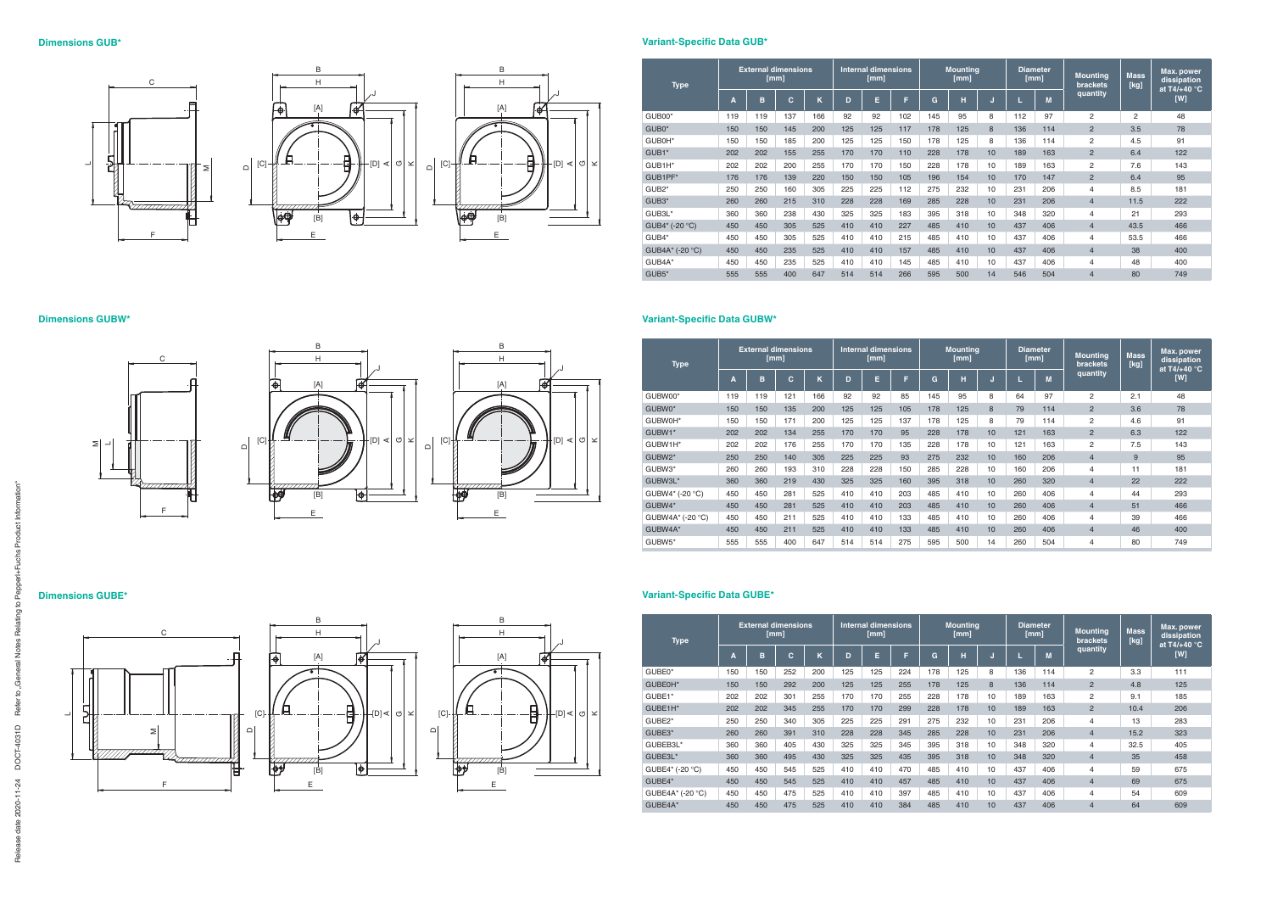

### **Dimensions GUBW\***





# **Variant-Specific Data GUB\***

## **Dimensions GUBE\***

| <b>Type</b>        |     | <b>External dimensions</b> | [mm] |     | <b>Internal dimensions</b><br>[mm] |     |     | <b>Mountina</b><br>[mm] |     |    | <b>Diameter</b><br>[mm] |     | <b>Mounting</b><br><b>brackets</b> | <b>Mass</b><br>[kg] | Max. power<br>dissipation<br>at T4/+40 $\degree$ C |
|--------------------|-----|----------------------------|------|-----|------------------------------------|-----|-----|-------------------------|-----|----|-------------------------|-----|------------------------------------|---------------------|----------------------------------------------------|
|                    | A   | B                          | C    | K   | D                                  | E   | F.  | G                       | н   | ы  |                         | M   | quantity                           |                     | [W]                                                |
| GUB00*             | 119 | 119                        | 137  | 166 | 92                                 | 92  | 102 | 145                     | 95  | 8  | 112                     | 97  | 2                                  | $\overline{2}$      | 48                                                 |
| GUB0*              | 150 | 150                        | 145  | 200 | 125                                | 125 | 117 | 178                     | 125 | 8  | 136                     | 114 | 2                                  | 3.5                 | 78                                                 |
| GUB0H*             | 150 | 150                        | 185  | 200 | 125                                | 125 | 150 | 178                     | 125 | 8  | 136                     | 114 | 2                                  | 4.5                 | 91                                                 |
| GUB1*              | 202 | 202                        | 155  | 255 | 170                                | 170 | 110 | 228                     | 178 | 10 | 189                     | 163 | 2                                  | 6.4                 | 122                                                |
| GUB1H*             | 202 | 202                        | 200  | 255 | 170                                | 170 | 150 | 228                     | 178 | 10 | 189                     | 163 | $\overline{2}$                     | 7.6                 | 143                                                |
| GUB1PF*            | 176 | 176                        | 139  | 220 | 150                                | 150 | 105 | 196                     | 154 | 10 | 170                     | 147 | $\overline{2}$                     | 6.4                 | 95                                                 |
| GUB <sub>2</sub> * | 250 | 250                        | 160  | 305 | 225                                | 225 | 112 | 275                     | 232 | 10 | 231                     | 206 | 4                                  | 8.5                 | 181                                                |
| GUB <sub>3</sub> * | 260 | 260                        | 215  | 310 | 228                                | 228 | 169 | 285                     | 228 | 10 | 231                     | 206 | $\overline{4}$                     | 11.5                | 222                                                |
| GUB3L*             | 360 | 360                        | 238  | 430 | 325                                | 325 | 183 | 395                     | 318 | 10 | 348                     | 320 | 4                                  | 21                  | 293                                                |
| GUB4* (-20 °C)     | 450 | 450                        | 305  | 525 | 410                                | 410 | 227 | 485                     | 410 | 10 | 437                     | 406 | $\overline{4}$                     | 43.5                | 466                                                |
| GUB4*              | 450 | 450                        | 305  | 525 | 410                                | 410 | 215 | 485                     | 410 | 10 | 437                     | 406 | 4                                  | 53.5                | 466                                                |
| GUB4A* (-20 °C)    | 450 | 450                        | 235  | 525 | 410                                | 410 | 157 | 485                     | 410 | 10 | 437                     | 406 | $\overline{4}$                     | 38                  | 400                                                |
| GUB4A*             | 450 | 450                        | 235  | 525 | 410                                | 410 | 145 | 485                     | 410 | 10 | 437                     | 406 | 4                                  | 48                  | 400                                                |
| GUB5*              | 555 | 555                        | 400  | 647 | 514                                | 514 | 266 | 595                     | 500 | 14 | 546                     | 504 | $\overline{4}$                     | 80                  | 749                                                |

# **Variant-Specific Data GUBW\***

| <b>Type</b>      |     | <b>External dimensions</b> | [mm] |     | <b>Internal dimensions</b><br>[mm] |     |     | <b>Mounting</b><br>[mm] |     |    | Diameter<br>[mm] |     | <b>Mounting</b><br><b>brackets</b> | <b>Mass</b><br>[kg] | Max. power<br>dissipation<br>at T4/+40 $\degree$ C |
|------------------|-----|----------------------------|------|-----|------------------------------------|-----|-----|-------------------------|-----|----|------------------|-----|------------------------------------|---------------------|----------------------------------------------------|
|                  | Α   | B                          | C    | K   | D                                  | E   | Е   | G                       | н   | ы  |                  | M   | quantity                           |                     | [W]                                                |
| GUBW00*          | 119 | 119                        | 121  | 166 | 92                                 | 92  | 85  | 145                     | 95  | 8  | 64               | 97  | 2                                  | 2.1                 | 48                                                 |
| GUBW0*           | 150 | 150                        | 135  | 200 | 125                                | 125 | 105 | 178                     | 125 | 8  | 79               | 114 | $\overline{2}$                     | 3.6                 | 78                                                 |
| GUBW0H*          | 150 | 150                        | 171  | 200 | 125                                | 125 | 137 | 178                     | 125 | 8  | 79               | 114 | 2                                  | 4.6                 | 91                                                 |
| GUBW1*           | 202 | 202                        | 134  | 255 | 170                                | 170 | 95  | 228                     | 178 | 10 | 121              | 163 | $\overline{2}$                     | 6.3                 | 122                                                |
| GUBW1H*          | 202 | 202                        | 176  | 255 | 170                                | 170 | 135 | 228                     | 178 | 10 | 121              | 163 | 2                                  | 7.5                 | 143                                                |
| GUBW2*           | 250 | 250                        | 140  | 305 | 225                                | 225 | 93  | 275                     | 232 | 10 | 160              | 206 | $\overline{4}$                     | 9                   | 95                                                 |
| GUBW3*           | 260 | 260                        | 193  | 310 | 228                                | 228 | 150 | 285                     | 228 | 10 | 160              | 206 | 4                                  | 11                  | 181                                                |
| GUBW3L*          | 360 | 360                        | 219  | 430 | 325                                | 325 | 160 | 395                     | 318 | 10 | 260              | 320 | $\overline{4}$                     | 22                  | 222                                                |
| GUBW4* (-20 °C)  | 450 | 450                        | 281  | 525 | 410                                | 410 | 203 | 485                     | 410 | 10 | 260              | 406 | 4                                  | 44                  | 293                                                |
| GUBW4*           | 450 | 450                        | 281  | 525 | 410                                | 410 | 203 | 485                     | 410 | 10 | 260              | 406 | $\overline{4}$                     | 51                  | 466                                                |
| GUBW4A* (-20 °C) | 450 | 450                        | 211  | 525 | 410                                | 410 | 133 | 485                     | 410 | 10 | 260              | 406 | 4                                  | 39                  | 466                                                |
| GUBW4A*          | 450 | 450                        | 211  | 525 | 410                                | 410 | 133 | 485                     | 410 | 10 | 260              | 406 | $\overline{4}$                     | 46                  | 400                                                |
| GUBW5*           | 555 | 555                        | 400  | 647 | 514                                | 514 | 275 | 595                     | 500 | 14 | 260              | 504 | 4                                  | 80                  | 749                                                |

| <b>Type</b>      |     | <b>External dimensions</b> | [mm] |     | <b>Internal dimensions</b><br>[mm] |     |     | <b>Mounting</b><br>[mm] |     |    | <b>Diameter</b><br>[mm] |     | <b>Mounting</b><br>brackets. | <b>Mass</b><br>[kg] | <b>Max.</b> power<br>dissipation<br>at T4/+40 $^{\circ}$ C |
|------------------|-----|----------------------------|------|-----|------------------------------------|-----|-----|-------------------------|-----|----|-------------------------|-----|------------------------------|---------------------|------------------------------------------------------------|
|                  | A   | B                          | c    | ĸ   | D                                  | E   | F   | G                       | н   |    |                         | M   | quantity                     |                     | [W]                                                        |
| GUBE0*           | 150 | 150                        | 252  | 200 | 125                                | 125 | 224 | 178                     | 125 | 8  | 136                     | 114 | $\overline{2}$               | 3.3                 | 111                                                        |
| GUBE0H*          | 150 | 150                        | 292  | 200 | 125                                | 125 | 255 | 178                     | 125 | 8  | 136                     | 114 | $\overline{2}$               | 4.8                 | 125                                                        |
| GUBE1*           | 202 | 202                        | 301  | 255 | 170                                | 170 | 255 | 228                     | 178 | 10 | 189                     | 163 | 2                            | 9.1                 | 185                                                        |
| GUBE1H*          | 202 | 202                        | 345  | 255 | 170                                | 170 | 299 | 228                     | 178 | 10 | 189                     | 163 | $\overline{2}$               | 10.4                | 206                                                        |
| GUBE2*           | 250 | 250                        | 340  | 305 | 225                                | 225 | 291 | 275                     | 232 | 10 | 231                     | 206 | 4                            | 13                  | 283                                                        |
| GUBE3*           | 260 | 260                        | 391  | 310 | 228                                | 228 | 345 | 285                     | 228 | 10 | 231                     | 206 | $\overline{4}$               | 15.2                | 323                                                        |
| GUBEB3L*         | 360 | 360                        | 405  | 430 | 325                                | 325 | 345 | 395                     | 318 | 10 | 348                     | 320 | 4                            | 32.5                | 405                                                        |
| GUBE3L*          | 360 | 360                        | 495  | 430 | 325                                | 325 | 435 | 395                     | 318 | 10 | 348                     | 320 | $\overline{4}$               | 35                  | 458                                                        |
| GUBE4* (-20 °C)  | 450 | 450                        | 545  | 525 | 410                                | 410 | 470 | 485                     | 410 | 10 | 437                     | 406 | 4                            | 59                  | 675                                                        |
| GUBE4*           | 450 | 450                        | 545  | 525 | 410                                | 410 | 457 | 485                     | 410 | 10 | 437                     | 406 | $\overline{4}$               | 69                  | 675                                                        |
| GUBE4A* (-20 °C) | 450 | 450                        | 475  | 525 | 410                                | 410 | 397 | 485                     | 410 | 10 | 437                     | 406 | 4                            | 54                  | 609                                                        |
| GUBE4A*          | 450 | 450                        | 475  | 525 | 410                                | 410 | 384 | 485                     | 410 | 10 | 437                     | 406 | $\overline{4}$               | 64                  | 609                                                        |



# **Variant-Specific Data GUBE\***